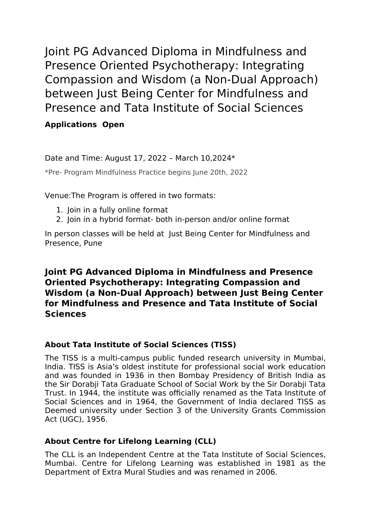Joint PG Advanced Diploma in Mindfulness and Presence Oriented Psychotherapy: Integrating Compassion and Wisdom (a Non-Dual Approach) between Just Being Center for Mindfulness and Presence and Tata Institute of Social Sciences

# **Applications Open**

Date and Time: August 17, 2022 – March 10,2024\*

\*Pre- Program Mindfulness Practice begins June 20th, 2022

Venue:The Program is offered in two formats:

- 1. Join in a fully online format
- 2. Join in a hybrid format- both in-person and/or online format

In person classes will be held at Just Being Center for Mindfulness and Presence, Pune

# **Joint PG Advanced Diploma in Mindfulness and Presence Oriented Psychotherapy: Integrating Compassion and Wisdom (a Non-Dual Approach) between Just Being Center for Mindfulness and Presence and Tata Institute of Social Sciences**

## **About Tata Institute of Social Sciences (TISS)**

The TISS is a multi-campus public funded research university in Mumbai, India. TISS is Asia's oldest institute for professional social work education and was founded in 1936 in then Bombay Presidency of British India as the Sir Dorabji Tata Graduate School of Social Work by the Sir Dorabji Tata Trust. In 1944, the institute was officially renamed as the Tata Institute of Social Sciences and in 1964, the Government of India declared TISS as Deemed university under Section 3 of the University Grants Commission Act (UGC), 1956.

## **About Centre for Lifelong Learning (CLL)**

The CLL is an Independent Centre at the Tata Institute of Social Sciences, Mumbai. Centre for Lifelong Learning was established in 1981 as the Department of Extra Mural Studies and was renamed in 2006.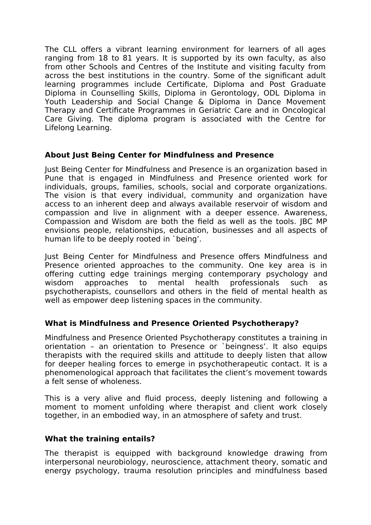The CLL offers a vibrant learning environment for learners of all ages ranging from 18 to 81 years. It is supported by its own faculty, as also from other Schools and Centres of the Institute and visiting faculty from across the best institutions in the country. Some of the significant adult learning programmes include Certificate, Diploma and Post Graduate Diploma in Counselling Skills, Diploma in Gerontology, ODL Diploma in Youth Leadership and Social Change & Diploma in Dance Movement Therapy and Certificate Programmes in Geriatric Care and in Oncological Care Giving. The diploma program is associated with the Centre for Lifelong Learning.

#### **About Just Being Center for Mindfulness and Presence**

Just Being Center for Mindfulness and Presence is an organization based in Pune that is engaged in Mindfulness and Presence oriented work for individuals, groups, families, schools, social and corporate organizations. The vision is that every individual, community and organization have access to an inherent deep and always available reservoir of wisdom and compassion and live in alignment with a deeper essence. Awareness, Compassion and Wisdom are both the field as well as the tools. JBC MP envisions people, relationships, education, businesses and all aspects of human life to be deeply rooted in `being'.

Just Being Center for Mindfulness and Presence offers Mindfulness and Presence oriented approaches to the community. One key area is in offering cutting edge trainings merging contemporary psychology and wisdom approaches to mental health professionals such as psychotherapists, counsellors and others in the field of mental health as well as empower deep listening spaces in the community.

## **What is Mindfulness and Presence Oriented Psychotherapy?**

Mindfulness and Presence Oriented Psychotherapy constitutes a training in orientation – an orientation to Presence or `beingness'. It also equips therapists with the required skills and attitude to deeply listen that allow for deeper healing forces to emerge in psychotherapeutic contact. It is a phenomenological approach that facilitates the client's movement towards a felt sense of wholeness.

This is a very alive and fluid process, deeply listening and following a moment to moment unfolding where therapist and client work closely together, in an embodied way, in an atmosphere of safety and trust.

#### **What the training entails?**

The therapist is equipped with background knowledge drawing from interpersonal neurobiology, neuroscience, attachment theory, somatic and energy psychology, trauma resolution principles and mindfulness based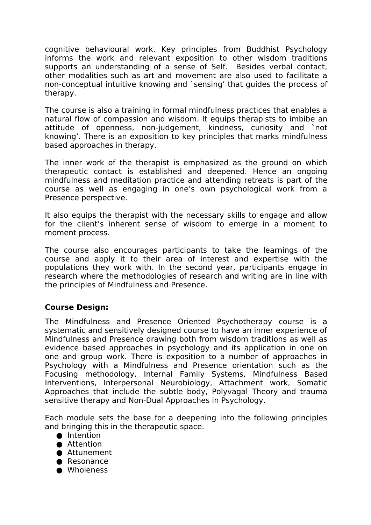cognitive behavioural work. Key principles from Buddhist Psychology informs the work and relevant exposition to other wisdom traditions supports an understanding of a sense of Self. Besides verbal contact, other modalities such as art and movement are also used to facilitate a non-conceptual intuitive knowing and `sensing' that guides the process of therapy.

The course is also a training in formal mindfulness practices that enables a natural flow of compassion and wisdom. It equips therapists to imbibe an attitude of openness, non-judgement, kindness, curiosity and `not knowing'. There is an exposition to key principles that marks mindfulness based approaches in therapy.

The inner work of the therapist is emphasized as the ground on which therapeutic contact is established and deepened. Hence an ongoing mindfulness and meditation practice and attending retreats is part of the course as well as engaging in one's own psychological work from a Presence perspective.

It also equips the therapist with the necessary skills to engage and allow for the client's inherent sense of wisdom to emerge in a moment to moment process.

The course also encourages participants to take the learnings of the course and apply it to their area of interest and expertise with the populations they work with. In the second year, participants engage in research where the methodologies of research and writing are in line with the principles of Mindfulness and Presence.

## **Course Design:**

The Mindfulness and Presence Oriented Psychotherapy course is a systematic and sensitively designed course to have an inner experience of Mindfulness and Presence drawing both from wisdom traditions as well as evidence based approaches in psychology and its application in one on one and group work. There is exposition to a number of approaches in Psychology with a Mindfulness and Presence orientation such as the Focusing methodology, Internal Family Systems, Mindfulness Based Interventions, Interpersonal Neurobiology, Attachment work, Somatic Approaches that include the subtle body, Polyvagal Theory and trauma sensitive therapy and Non-Dual Approaches in Psychology.

Each module sets the base for a deepening into the following principles and bringing this in the therapeutic space.

- Intention
- Attention
- Attunement
- Resonance
- Wholeness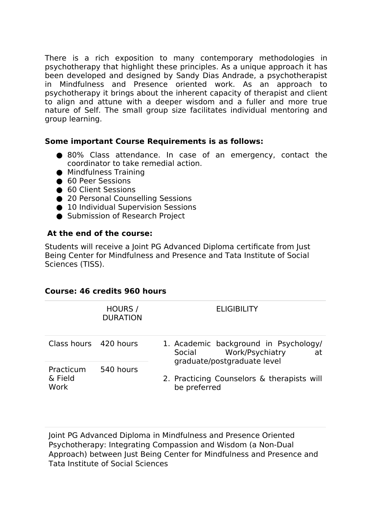There is a rich exposition to many contemporary methodologies in psychotherapy that highlight these principles. As a unique approach it has been developed and designed by Sandy Dias Andrade, a psychotherapist in Mindfulness and Presence oriented work. As an approach to psychotherapy it brings about the inherent capacity of therapist and client to align and attune with a deeper wisdom and a fuller and more true nature of Self. The small group size facilitates individual mentoring and group learning.

#### **Some important Course Requirements is as follows:**

- 80% Class attendance. In case of an emergency, contact the coordinator to take remedial action.
- Mindfulness Training
- 60 Peer Sessions
- 60 Client Sessions
- 20 Personal Counselling Sessions
- 10 Individual Supervision Sessions
- Submission of Research Project

#### **At the end of the course:**

Students will receive a Joint PG Advanced Diploma certificate from Just Being Center for Mindfulness and Presence and Tata Institute of Social Sciences (TISS).

#### **Course: 46 credits 960 hours**

|                              | HOURS /<br><b>DURATION</b> | <b>ELIGIBILITY</b>                                                                                      |
|------------------------------|----------------------------|---------------------------------------------------------------------------------------------------------|
| Class hours 420 hours        |                            | 1. Academic background in Psychology/<br>Work/Psychiatry<br>Social<br>at<br>graduate/postgraduate level |
| Practicum<br>& Field<br>Work | 540 hours                  | 2. Practicing Counselors & therapists will<br>be preferred                                              |

Joint PG Advanced Diploma in Mindfulness and Presence Oriented Psychotherapy: Integrating Compassion and Wisdom (a Non-Dual Approach) between Just Being Center for Mindfulness and Presence and Tata Institute of Social Sciences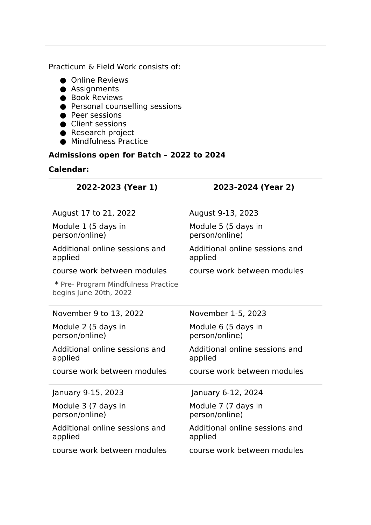Practicum & Field Work consists of:

- Online Reviews
- Assignments
- Book Reviews
- Personal counselling sessions
- Peer sessions
- Client sessions
- Research project
- $\bullet$  Mindfulness Practice

# **Admissions open for Batch – 2022 to 2024**

#### **Calendar:**

| 2022-2023 (Year 1)                                            | 2023-2024 (Year 2)                        |
|---------------------------------------------------------------|-------------------------------------------|
| August 17 to 21, 2022                                         | August 9-13, 2023                         |
| Module 1 (5 days in<br>person/online)                         | Module 5 (5 days in<br>person/online)     |
| Additional online sessions and<br>applied                     | Additional online sessions and<br>applied |
| course work between modules                                   | course work between modules               |
| * Pre- Program Mindfulness Practice<br>begins June 20th, 2022 |                                           |
| November 9 to 13, 2022                                        | November 1-5, 2023                        |
| Module 2 (5 days in<br>person/online)                         | Module 6 (5 days in<br>person/online)     |
| Additional online sessions and<br>applied                     | Additional online sessions and<br>applied |
| course work between modules                                   | course work between modules               |
| January 9-15, 2023                                            | January 6-12, 2024                        |
| Module 3 (7 days in<br>person/online)                         | Module 7 (7 days in<br>person/online)     |
| Additional online sessions and<br>applied                     | Additional online sessions and<br>applied |
| course work between modules                                   | course work between modules               |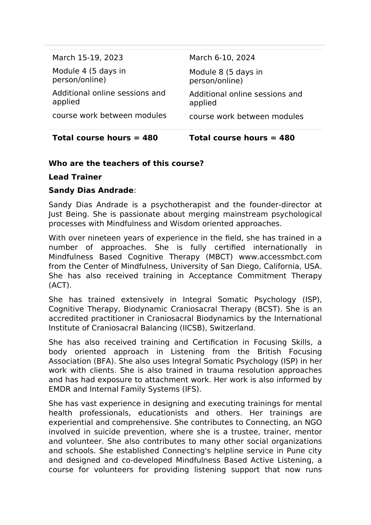| Total course hours $= 480$                | Total course hours = 480                  |
|-------------------------------------------|-------------------------------------------|
| course work between modules               | course work between modules               |
| Additional online sessions and<br>applied | Additional online sessions and<br>applied |
| Module 4 (5 days in<br>person/online)     | Module 8 (5 days in<br>person/online)     |
| March 15-19, 2023                         | March 6-10, 2024                          |

### **Who are the teachers of this course?**

#### **Lead Trainer**

#### **Sandy Dias Andrade**:

Sandy Dias Andrade is a psychotherapist and the founder-director at Just Being. She is passionate about merging mainstream psychological processes with Mindfulness and Wisdom oriented approaches.

With over nineteen years of experience in the field, she has trained in a number of approaches. She is fully certified internationally in Mindfulness Based Cognitive Therapy (MBCT) www.accessmbct.com from the Center of Mindfulness, University of San Diego, California, USA. She has also received training in Acceptance Commitment Therapy (ACT).

She has trained extensively in Integral Somatic Psychology (ISP), Cognitive Therapy, Biodynamic Craniosacral Therapy (BCST). She is an accredited practitioner in Craniosacral Biodynamics by the International Institute of Craniosacral Balancing (IICSB), Switzerland.

She has also received training and Certification in Focusing Skills, a body oriented approach in Listening from the British Focusing Association (BFA). She also uses Integral Somatic Psychology (ISP) in her work with clients. She is also trained in trauma resolution approaches and has had exposure to attachment work. Her work is also informed by EMDR and Internal Family Systems (IFS).

She has vast experience in designing and executing trainings for mental health professionals, educationists and others. Her trainings are experiential and comprehensive. She contributes to Connecting, an NGO involved in suicide prevention, where she is a trustee, trainer, mentor and volunteer. She also contributes to many other social organizations and schools. She established Connecting's helpline service in Pune city and designed and co-developed Mindfulness Based Active Listening, a course for volunteers for providing listening support that now runs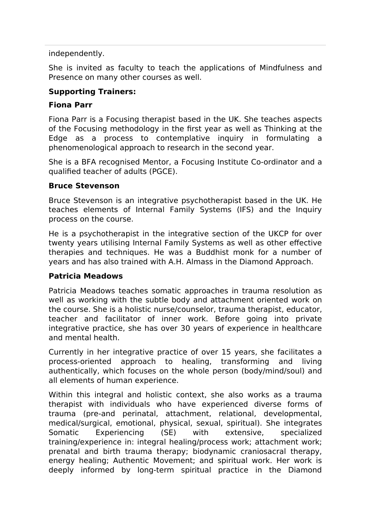independently.

She is invited as faculty to teach the applications of Mindfulness and Presence on many other courses as well.

### **Supporting Trainers:**

#### **Fiona Parr**

Fiona Parr is a Focusing therapist based in the UK. She teaches aspects of the Focusing methodology in the first year as well as Thinking at the Edge as a process to contemplative inquiry in formulating a phenomenological approach to research in the second year.

She is a BFA recognised Mentor, a Focusing Institute Co-ordinator and a qualified teacher of adults (PGCE).

#### **Bruce Stevenson**

Bruce Stevenson is an integrative psychotherapist based in the UK. He teaches elements of Internal Family Systems (IFS) and the Inquiry process on the course.

He is a psychotherapist in the integrative section of the UKCP for over twenty years utilising Internal Family Systems as well as other effective therapies and techniques. He was a Buddhist monk for a number of years and has also trained with A.H. Almass in the Diamond Approach.

#### **Patricia Meadows**

Patricia Meadows teaches somatic approaches in trauma resolution as well as working with the subtle body and attachment oriented work on the course. She is a holistic nurse/counselor, trauma therapist, educator, teacher and facilitator of inner work. Before going into private integrative practice, she has over 30 years of experience in healthcare and mental health.

Currently in her integrative practice of over 15 years, she facilitates a process-oriented approach to healing, transforming and living authentically, which focuses on the whole person (body/mind/soul) and all elements of human experience.

Within this integral and holistic context, she also works as a trauma therapist with individuals who have experienced diverse forms of trauma (pre-and perinatal, attachment, relational, developmental, medical/surgical, emotional, physical, sexual, spiritual). She integrates Somatic Experiencing (SE) with extensive, specialized training/experience in: integral healing/process work; attachment work; prenatal and birth trauma therapy; biodynamic craniosacral therapy, energy healing; Authentic Movement; and spiritual work. Her work is deeply informed by long-term spiritual practice in the Diamond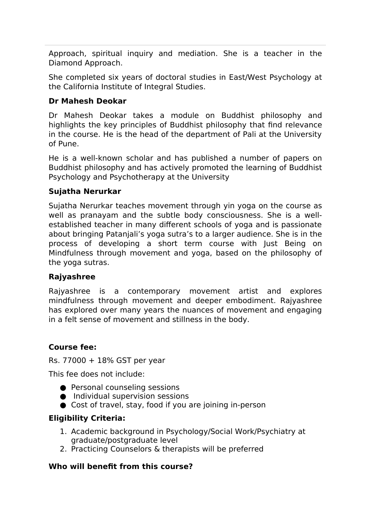Approach, spiritual inquiry and mediation. She is a teacher in the Diamond Approach.

She completed six years of doctoral studies in East/West Psychology at the California Institute of Integral Studies.

### **Dr Mahesh Deokar**

Dr Mahesh Deokar takes a module on Buddhist philosophy and highlights the key principles of Buddhist philosophy that find relevance in the course. He is the head of the department of Pali at the University of Pune.

He is a well-known scholar and has published a number of papers on Buddhist philosophy and has actively promoted the learning of Buddhist Psychology and Psychotherapy at the University

### **Sujatha Nerurkar**

Sujatha Nerurkar teaches movement through yin yoga on the course as well as pranayam and the subtle body consciousness. She is a wellestablished teacher in many different schools of yoga and is passionate about bringing Patanjali's yoga sutra's to a larger audience. She is in the process of developing a short term course with Just Being on Mindfulness through movement and yoga, based on the philosophy of the yoga sutras.

#### **Rajyashree**

Rajyashree is a contemporary movement artist and explores mindfulness through movement and deeper embodiment. Rajyashree has explored over many years the nuances of movement and engaging in a felt sense of movement and stillness in the body.

#### **Course fee:**

Rs. 77000 + 18% GST per year

This fee does not include:

- Personal counseling sessions
- Individual supervision sessions
- Cost of travel, stay, food if you are joining in-person

## **Eligibility Criteria:**

- 1. Academic background in Psychology/Social Work/Psychiatry at graduate/postgraduate level
- 2. Practicing Counselors & therapists will be preferred

## **Who will benefit from this course?**